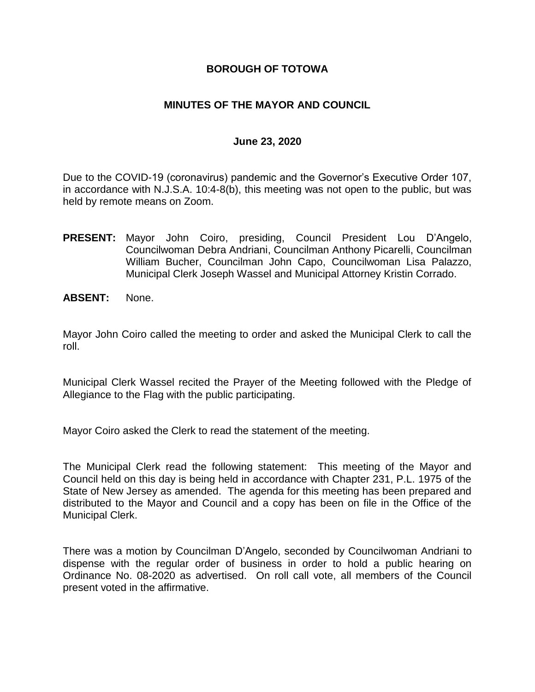### **BOROUGH OF TOTOWA**

### **MINUTES OF THE MAYOR AND COUNCIL**

### **June 23, 2020**

Due to the COVID-19 (coronavirus) pandemic and the Governor's Executive Order 107, in accordance with N.J.S.A. 10:4-8(b), this meeting was not open to the public, but was held by remote means on Zoom.

- **PRESENT:** Mayor John Coiro, presiding, Council President Lou D'Angelo, Councilwoman Debra Andriani, Councilman Anthony Picarelli, Councilman William Bucher, Councilman John Capo, Councilwoman Lisa Palazzo, Municipal Clerk Joseph Wassel and Municipal Attorney Kristin Corrado.
- **ABSENT:** None.

Mayor John Coiro called the meeting to order and asked the Municipal Clerk to call the roll.

Municipal Clerk Wassel recited the Prayer of the Meeting followed with the Pledge of Allegiance to the Flag with the public participating.

Mayor Coiro asked the Clerk to read the statement of the meeting.

The Municipal Clerk read the following statement: This meeting of the Mayor and Council held on this day is being held in accordance with Chapter 231, P.L. 1975 of the State of New Jersey as amended. The agenda for this meeting has been prepared and distributed to the Mayor and Council and a copy has been on file in the Office of the Municipal Clerk.

There was a motion by Councilman D'Angelo, seconded by Councilwoman Andriani to dispense with the regular order of business in order to hold a public hearing on Ordinance No. 08-2020 as advertised. On roll call vote, all members of the Council present voted in the affirmative.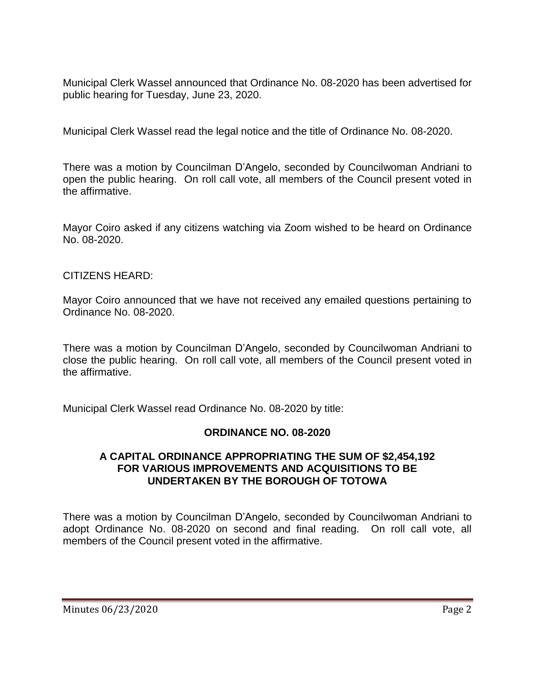Municipal Clerk Wassel announced that Ordinance No. 08-2020 has been advertised for public hearing for Tuesday, June 23, 2020.

Municipal Clerk Wassel read the legal notice and the title of Ordinance No. 08-2020.

There was a motion by Councilman D'Angelo, seconded by Councilwoman Andriani to open the public hearing. On roll call vote, all members of the Council present voted in the affirmative.

Mayor Coiro asked if any citizens watching via Zoom wished to be heard on Ordinance No. 08-2020.

### CITIZENS HEARD:

Mayor Coiro announced that we have not received any emailed questions pertaining to Ordinance No. 08-2020.

There was a motion by Councilman D'Angelo, seconded by Councilwoman Andriani to close the public hearing. On roll call vote, all members of the Council present voted in the affirmative.

Municipal Clerk Wassel read Ordinance No. 08-2020 by title:

# **ORDINANCE NO. 08-2020**

### **A CAPITAL ORDINANCE APPROPRIATING THE SUM OF \$2,454,192 FOR VARIOUS IMPROVEMENTS AND ACQUISITIONS TO BE UNDERTAKEN BY THE BOROUGH OF TOTOWA**

There was a motion by Councilman D'Angelo, seconded by Councilwoman Andriani to adopt Ordinance No. 08-2020 on second and final reading. On roll call vote, all members of the Council present voted in the affirmative.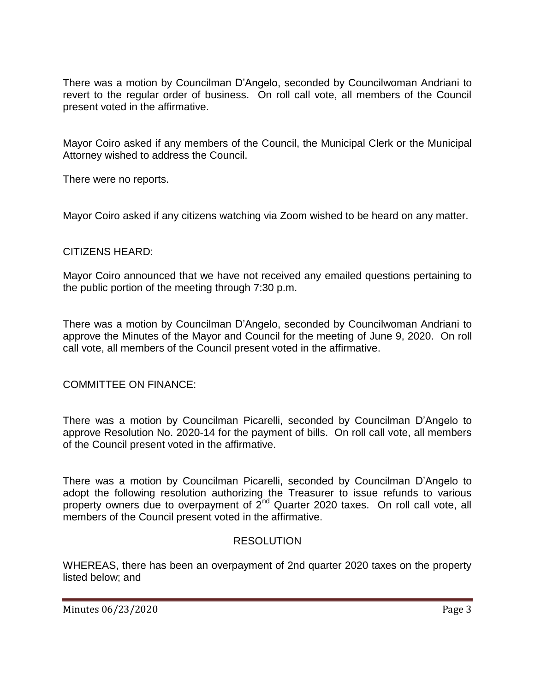There was a motion by Councilman D'Angelo, seconded by Councilwoman Andriani to revert to the regular order of business. On roll call vote, all members of the Council present voted in the affirmative.

Mayor Coiro asked if any members of the Council, the Municipal Clerk or the Municipal Attorney wished to address the Council.

There were no reports.

Mayor Coiro asked if any citizens watching via Zoom wished to be heard on any matter.

### CITIZENS HEARD:

Mayor Coiro announced that we have not received any emailed questions pertaining to the public portion of the meeting through 7:30 p.m.

There was a motion by Councilman D'Angelo, seconded by Councilwoman Andriani to approve the Minutes of the Mayor and Council for the meeting of June 9, 2020. On roll call vote, all members of the Council present voted in the affirmative.

# COMMITTEE ON FINANCE:

There was a motion by Councilman Picarelli, seconded by Councilman D'Angelo to approve Resolution No. 2020-14 for the payment of bills. On roll call vote, all members of the Council present voted in the affirmative.

There was a motion by Councilman Picarelli, seconded by Councilman D'Angelo to adopt the following resolution authorizing the Treasurer to issue refunds to various property owners due to overpayment of  $2^{nd}$  Quarter 2020 taxes. On roll call vote, all members of the Council present voted in the affirmative.

# RESOLUTION

WHEREAS, there has been an overpayment of 2nd quarter 2020 taxes on the property listed below; and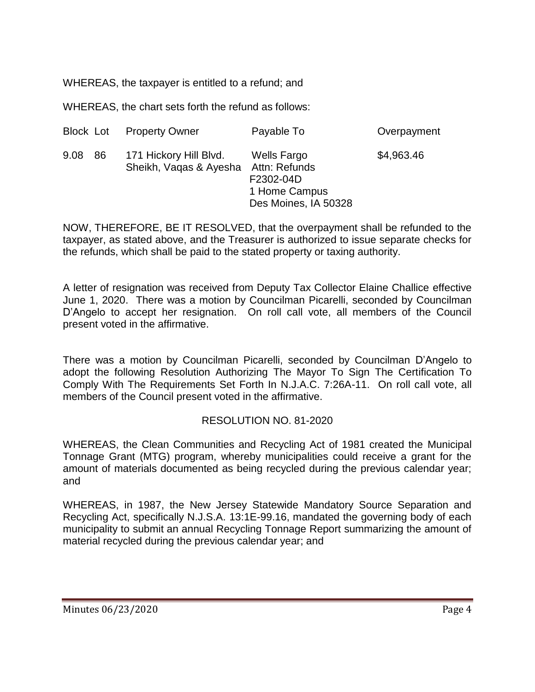WHEREAS, the taxpayer is entitled to a refund; and

WHEREAS, the chart sets forth the refund as follows:

|              | <b>Block Lot Property Owner</b>                  | Payable To                                                                                | Overpayment |
|--------------|--------------------------------------------------|-------------------------------------------------------------------------------------------|-------------|
| 9.08<br>- 86 | 171 Hickory Hill Blvd.<br>Sheikh, Vagas & Ayesha | <b>Wells Fargo</b><br>Attn: Refunds<br>F2302-04D<br>1 Home Campus<br>Des Moines, IA 50328 | \$4,963.46  |

NOW, THEREFORE, BE IT RESOLVED, that the overpayment shall be refunded to the taxpayer, as stated above, and the Treasurer is authorized to issue separate checks for the refunds, which shall be paid to the stated property or taxing authority.

A letter of resignation was received from Deputy Tax Collector Elaine Challice effective June 1, 2020. There was a motion by Councilman Picarelli, seconded by Councilman D'Angelo to accept her resignation. On roll call vote, all members of the Council present voted in the affirmative.

There was a motion by Councilman Picarelli, seconded by Councilman D'Angelo to adopt the following Resolution Authorizing The Mayor To Sign The Certification To Comply With The Requirements Set Forth In N.J.A.C. 7:26A-11. On roll call vote, all members of the Council present voted in the affirmative.

# RESOLUTION NO. 81-2020

WHEREAS, the Clean Communities and Recycling Act of 1981 created the Municipal Tonnage Grant (MTG) program, whereby municipalities could receive a grant for the amount of materials documented as being recycled during the previous calendar year; and

WHEREAS, in 1987, the New Jersey Statewide Mandatory Source Separation and Recycling Act, specifically N.J.S.A. 13:1E-99.16, mandated the governing body of each municipality to submit an annual Recycling Tonnage Report summarizing the amount of material recycled during the previous calendar year; and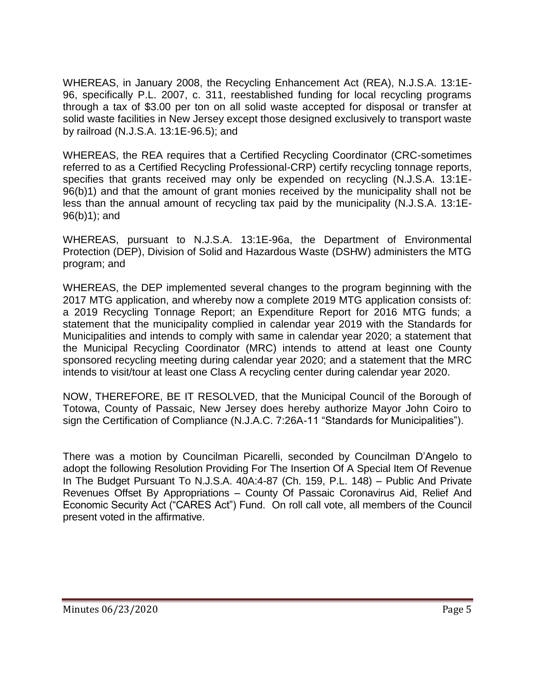WHEREAS, in January 2008, the Recycling Enhancement Act (REA), N.J.S.A. 13:1E-96, specifically P.L. 2007, c. 311, reestablished funding for local recycling programs through a tax of \$3.00 per ton on all solid waste accepted for disposal or transfer at solid waste facilities in New Jersey except those designed exclusively to transport waste by railroad (N.J.S.A. 13:1E-96.5); and

WHEREAS, the REA requires that a Certified Recycling Coordinator (CRC-sometimes referred to as a Certified Recycling Professional-CRP) certify recycling tonnage reports, specifies that grants received may only be expended on recycling (N.J.S.A. 13:1E-96(b)1) and that the amount of grant monies received by the municipality shall not be less than the annual amount of recycling tax paid by the municipality (N.J.S.A. 13:1E-96(b)1); and

WHEREAS, pursuant to N.J.S.A. 13:1E-96a, the Department of Environmental Protection (DEP), Division of Solid and Hazardous Waste (DSHW) administers the MTG program; and

WHEREAS, the DEP implemented several changes to the program beginning with the 2017 MTG application, and whereby now a complete 2019 MTG application consists of: a 2019 Recycling Tonnage Report; an Expenditure Report for 2016 MTG funds; a statement that the municipality complied in calendar year 2019 with the Standards for Municipalities and intends to comply with same in calendar year 2020; a statement that the Municipal Recycling Coordinator (MRC) intends to attend at least one County sponsored recycling meeting during calendar year 2020; and a statement that the MRC intends to visit/tour at least one Class A recycling center during calendar year 2020.

NOW, THEREFORE, BE IT RESOLVED, that the Municipal Council of the Borough of Totowa, County of Passaic, New Jersey does hereby authorize Mayor John Coiro to sign the Certification of Compliance (N.J.A.C. 7:26A-11 "Standards for Municipalities").

There was a motion by Councilman Picarelli, seconded by Councilman D'Angelo to adopt the following Resolution Providing For The Insertion Of A Special Item Of Revenue In The Budget Pursuant To N.J.S.A. 40A:4-87 (Ch. 159, P.L. 148) – Public And Private Revenues Offset By Appropriations – County Of Passaic Coronavirus Aid, Relief And Economic Security Act ("CARES Act") Fund. On roll call vote, all members of the Council present voted in the affirmative.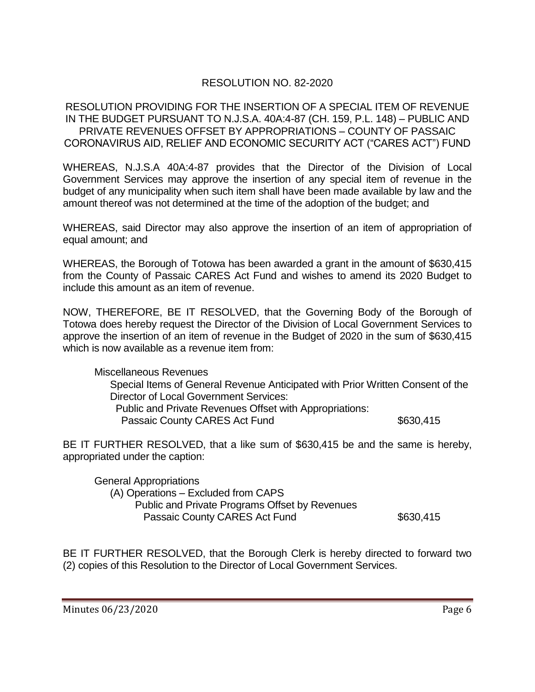# RESOLUTION NO. 82-2020

RESOLUTION PROVIDING FOR THE INSERTION OF A SPECIAL ITEM OF REVENUE IN THE BUDGET PURSUANT TO N.J.S.A. 40A:4-87 (CH. 159, P.L. 148) – PUBLIC AND PRIVATE REVENUES OFFSET BY APPROPRIATIONS – COUNTY OF PASSAIC CORONAVIRUS AID, RELIEF AND ECONOMIC SECURITY ACT ("CARES ACT") FUND

WHEREAS, N.J.S.A 40A:4-87 provides that the Director of the Division of Local Government Services may approve the insertion of any special item of revenue in the budget of any municipality when such item shall have been made available by law and the amount thereof was not determined at the time of the adoption of the budget; and

WHEREAS, said Director may also approve the insertion of an item of appropriation of equal amount; and

WHEREAS, the Borough of Totowa has been awarded a grant in the amount of \$630,415 from the County of Passaic CARES Act Fund and wishes to amend its 2020 Budget to include this amount as an item of revenue.

NOW, THEREFORE, BE IT RESOLVED, that the Governing Body of the Borough of Totowa does hereby request the Director of the Division of Local Government Services to approve the insertion of an item of revenue in the Budget of 2020 in the sum of \$630,415 which is now available as a revenue item from:

Miscellaneous Revenues Special Items of General Revenue Anticipated with Prior Written Consent of the Director of Local Government Services: Public and Private Revenues Offset with Appropriations: Passaic County CARES Act Fund \$630,415

BE IT FURTHER RESOLVED, that a like sum of \$630,415 be and the same is hereby, appropriated under the caption:

General Appropriations (A) Operations – Excluded from CAPS Public and Private Programs Offset by Revenues Passaic County CARES Act Fund \$630,415

BE IT FURTHER RESOLVED, that the Borough Clerk is hereby directed to forward two (2) copies of this Resolution to the Director of Local Government Services.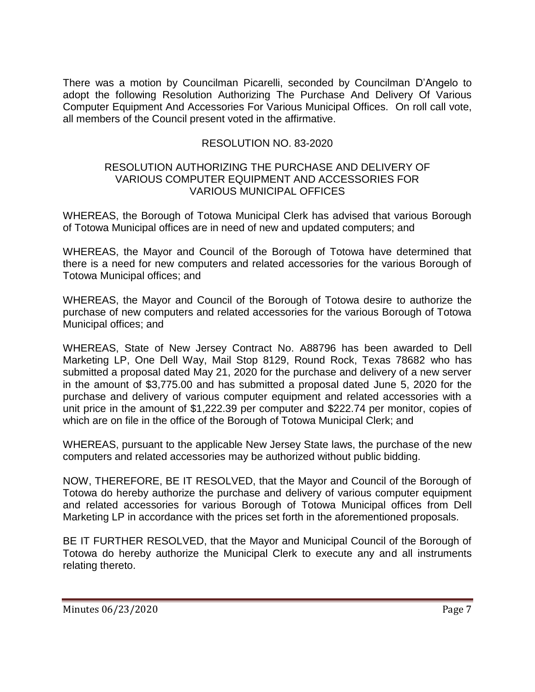There was a motion by Councilman Picarelli, seconded by Councilman D'Angelo to adopt the following Resolution Authorizing The Purchase And Delivery Of Various Computer Equipment And Accessories For Various Municipal Offices. On roll call vote, all members of the Council present voted in the affirmative.

# RESOLUTION NO. 83-2020

### RESOLUTION AUTHORIZING THE PURCHASE AND DELIVERY OF VARIOUS COMPUTER EQUIPMENT AND ACCESSORIES FOR VARIOUS MUNICIPAL OFFICES

WHEREAS, the Borough of Totowa Municipal Clerk has advised that various Borough of Totowa Municipal offices are in need of new and updated computers; and

WHEREAS, the Mayor and Council of the Borough of Totowa have determined that there is a need for new computers and related accessories for the various Borough of Totowa Municipal offices; and

WHEREAS, the Mayor and Council of the Borough of Totowa desire to authorize the purchase of new computers and related accessories for the various Borough of Totowa Municipal offices; and

WHEREAS, State of New Jersey Contract No. A88796 has been awarded to Dell Marketing LP, One Dell Way, Mail Stop 8129, Round Rock, Texas 78682 who has submitted a proposal dated May 21, 2020 for the purchase and delivery of a new server in the amount of \$3,775.00 and has submitted a proposal dated June 5, 2020 for the purchase and delivery of various computer equipment and related accessories with a unit price in the amount of \$1,222.39 per computer and \$222.74 per monitor, copies of which are on file in the office of the Borough of Totowa Municipal Clerk; and

WHEREAS, pursuant to the applicable New Jersey State laws, the purchase of the new computers and related accessories may be authorized without public bidding.

NOW, THEREFORE, BE IT RESOLVED, that the Mayor and Council of the Borough of Totowa do hereby authorize the purchase and delivery of various computer equipment and related accessories for various Borough of Totowa Municipal offices from Dell Marketing LP in accordance with the prices set forth in the aforementioned proposals.

BE IT FURTHER RESOLVED, that the Mayor and Municipal Council of the Borough of Totowa do hereby authorize the Municipal Clerk to execute any and all instruments relating thereto.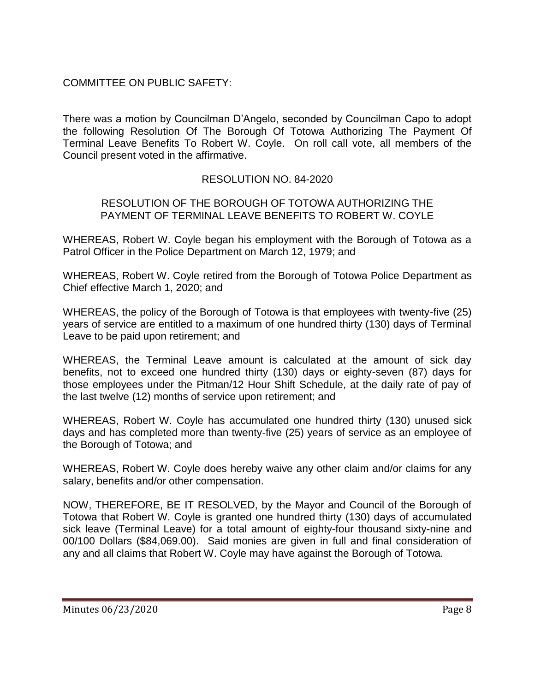# COMMITTEE ON PUBLIC SAFETY:

There was a motion by Councilman D'Angelo, seconded by Councilman Capo to adopt the following Resolution Of The Borough Of Totowa Authorizing The Payment Of Terminal Leave Benefits To Robert W. Coyle. On roll call vote, all members of the Council present voted in the affirmative.

### RESOLUTION NO. 84-2020

### RESOLUTION OF THE BOROUGH OF TOTOWA AUTHORIZING THE PAYMENT OF TERMINAL LEAVE BENEFITS TO ROBERT W. COYLE

WHEREAS, Robert W. Coyle began his employment with the Borough of Totowa as a Patrol Officer in the Police Department on March 12, 1979; and

WHEREAS, Robert W. Coyle retired from the Borough of Totowa Police Department as Chief effective March 1, 2020; and

WHEREAS, the policy of the Borough of Totowa is that employees with twenty-five (25) years of service are entitled to a maximum of one hundred thirty (130) days of Terminal Leave to be paid upon retirement; and

WHEREAS, the Terminal Leave amount is calculated at the amount of sick day benefits, not to exceed one hundred thirty (130) days or eighty-seven (87) days for those employees under the Pitman/12 Hour Shift Schedule, at the daily rate of pay of the last twelve (12) months of service upon retirement; and

WHEREAS, Robert W. Coyle has accumulated one hundred thirty (130) unused sick days and has completed more than twenty-five (25) years of service as an employee of the Borough of Totowa; and

WHEREAS, Robert W. Coyle does hereby waive any other claim and/or claims for any salary, benefits and/or other compensation.

NOW, THEREFORE, BE IT RESOLVED, by the Mayor and Council of the Borough of Totowa that Robert W. Coyle is granted one hundred thirty (130) days of accumulated sick leave (Terminal Leave) for a total amount of eighty-four thousand sixty-nine and 00/100 Dollars (\$84,069.00). Said monies are given in full and final consideration of any and all claims that Robert W. Coyle may have against the Borough of Totowa.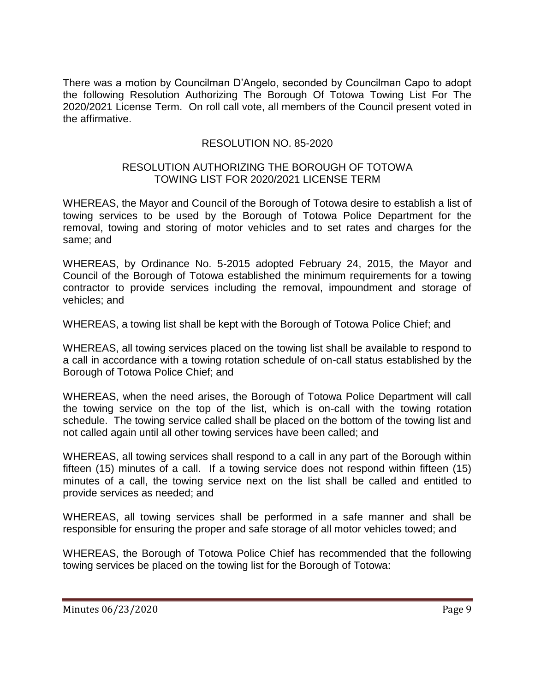There was a motion by Councilman D'Angelo, seconded by Councilman Capo to adopt the following Resolution Authorizing The Borough Of Totowa Towing List For The 2020/2021 License Term. On roll call vote, all members of the Council present voted in the affirmative.

### RESOLUTION NO. 85-2020

#### RESOLUTION AUTHORIZING THE BOROUGH OF TOTOWA TOWING LIST FOR 2020/2021 LICENSE TERM

WHEREAS, the Mayor and Council of the Borough of Totowa desire to establish a list of towing services to be used by the Borough of Totowa Police Department for the removal, towing and storing of motor vehicles and to set rates and charges for the same; and

WHEREAS, by Ordinance No. 5-2015 adopted February 24, 2015, the Mayor and Council of the Borough of Totowa established the minimum requirements for a towing contractor to provide services including the removal, impoundment and storage of vehicles; and

WHEREAS, a towing list shall be kept with the Borough of Totowa Police Chief; and

WHEREAS, all towing services placed on the towing list shall be available to respond to a call in accordance with a towing rotation schedule of on-call status established by the Borough of Totowa Police Chief; and

WHEREAS, when the need arises, the Borough of Totowa Police Department will call the towing service on the top of the list, which is on-call with the towing rotation schedule. The towing service called shall be placed on the bottom of the towing list and not called again until all other towing services have been called; and

WHEREAS, all towing services shall respond to a call in any part of the Borough within fifteen (15) minutes of a call. If a towing service does not respond within fifteen (15) minutes of a call, the towing service next on the list shall be called and entitled to provide services as needed; and

WHEREAS, all towing services shall be performed in a safe manner and shall be responsible for ensuring the proper and safe storage of all motor vehicles towed; and

WHEREAS, the Borough of Totowa Police Chief has recommended that the following towing services be placed on the towing list for the Borough of Totowa: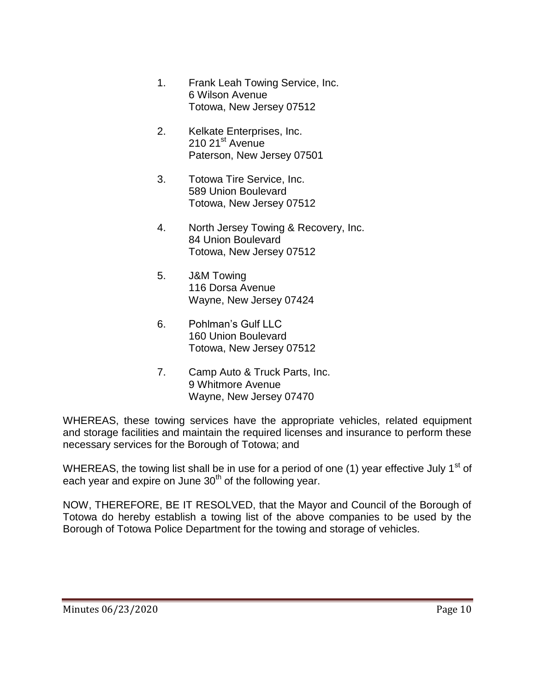- 1. Frank Leah Towing Service, Inc. 6 Wilson Avenue Totowa, New Jersey 07512
- 2. Kelkate Enterprises, Inc. 210 21<sup>st</sup> Avenue Paterson, New Jersey 07501
- 3. Totowa Tire Service, Inc. 589 Union Boulevard Totowa, New Jersey 07512
- 4. North Jersey Towing & Recovery, Inc. 84 Union Boulevard Totowa, New Jersey 07512
- 5. J&M Towing 116 Dorsa Avenue Wayne, New Jersey 07424
- 6. Pohlman's Gulf LLC 160 Union Boulevard Totowa, New Jersey 07512
- 7. Camp Auto & Truck Parts, Inc. 9 Whitmore Avenue Wayne, New Jersey 07470

WHEREAS, these towing services have the appropriate vehicles, related equipment and storage facilities and maintain the required licenses and insurance to perform these necessary services for the Borough of Totowa; and

WHEREAS, the towing list shall be in use for a period of one (1) year effective July 1<sup>st</sup> of each year and expire on June  $30<sup>th</sup>$  of the following year.

NOW, THEREFORE, BE IT RESOLVED, that the Mayor and Council of the Borough of Totowa do hereby establish a towing list of the above companies to be used by the Borough of Totowa Police Department for the towing and storage of vehicles.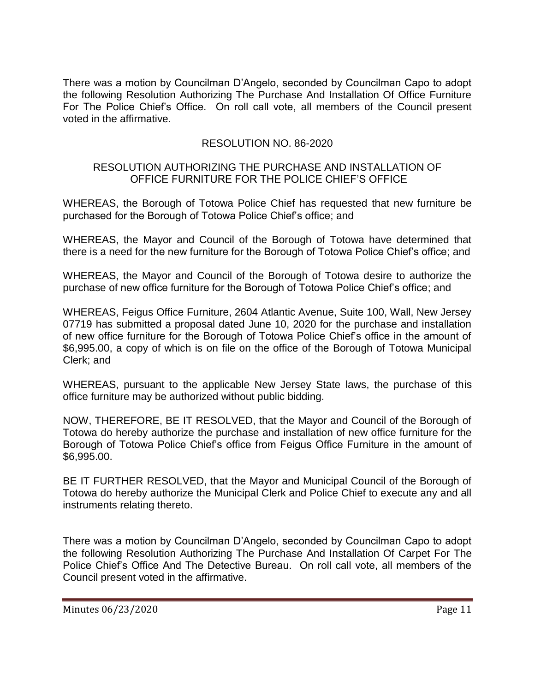There was a motion by Councilman D'Angelo, seconded by Councilman Capo to adopt the following Resolution Authorizing The Purchase And Installation Of Office Furniture For The Police Chief's Office. On roll call vote, all members of the Council present voted in the affirmative.

# RESOLUTION NO. 86-2020

### RESOLUTION AUTHORIZING THE PURCHASE AND INSTALLATION OF OFFICE FURNITURE FOR THE POLICE CHIEF'S OFFICE

WHEREAS, the Borough of Totowa Police Chief has requested that new furniture be purchased for the Borough of Totowa Police Chief's office; and

WHEREAS, the Mayor and Council of the Borough of Totowa have determined that there is a need for the new furniture for the Borough of Totowa Police Chief's office; and

WHEREAS, the Mayor and Council of the Borough of Totowa desire to authorize the purchase of new office furniture for the Borough of Totowa Police Chief's office; and

WHEREAS, Feigus Office Furniture, 2604 Atlantic Avenue, Suite 100, Wall, New Jersey 07719 has submitted a proposal dated June 10, 2020 for the purchase and installation of new office furniture for the Borough of Totowa Police Chief's office in the amount of \$6,995.00, a copy of which is on file on the office of the Borough of Totowa Municipal Clerk; and

WHEREAS, pursuant to the applicable New Jersey State laws, the purchase of this office furniture may be authorized without public bidding.

NOW, THEREFORE, BE IT RESOLVED, that the Mayor and Council of the Borough of Totowa do hereby authorize the purchase and installation of new office furniture for the Borough of Totowa Police Chief's office from Feigus Office Furniture in the amount of \$6,995.00.

BE IT FURTHER RESOLVED, that the Mayor and Municipal Council of the Borough of Totowa do hereby authorize the Municipal Clerk and Police Chief to execute any and all instruments relating thereto.

There was a motion by Councilman D'Angelo, seconded by Councilman Capo to adopt the following Resolution Authorizing The Purchase And Installation Of Carpet For The Police Chief's Office And The Detective Bureau. On roll call vote, all members of the Council present voted in the affirmative.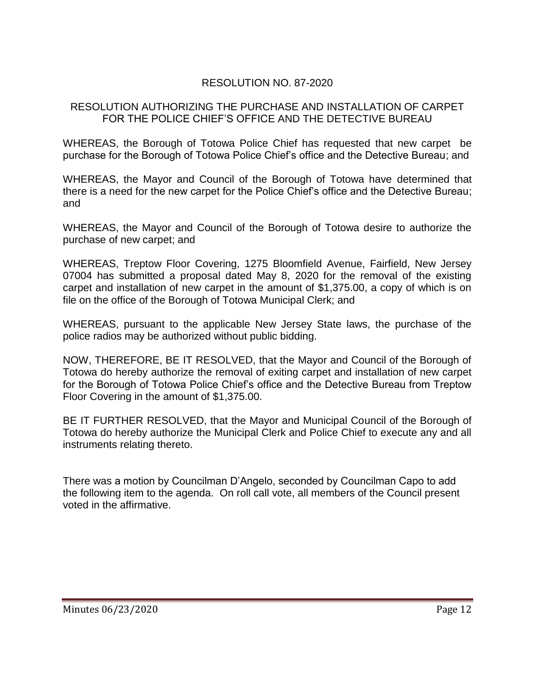# RESOLUTION NO. 87-2020

### RESOLUTION AUTHORIZING THE PURCHASE AND INSTALLATION OF CARPET FOR THE POLICE CHIEF'S OFFICE AND THE DETECTIVE BUREAU

WHEREAS, the Borough of Totowa Police Chief has requested that new carpet be purchase for the Borough of Totowa Police Chief's office and the Detective Bureau; and

WHEREAS, the Mayor and Council of the Borough of Totowa have determined that there is a need for the new carpet for the Police Chief's office and the Detective Bureau; and

WHEREAS, the Mayor and Council of the Borough of Totowa desire to authorize the purchase of new carpet; and

WHEREAS, Treptow Floor Covering, 1275 Bloomfield Avenue, Fairfield, New Jersey 07004 has submitted a proposal dated May 8, 2020 for the removal of the existing carpet and installation of new carpet in the amount of \$1,375.00, a copy of which is on file on the office of the Borough of Totowa Municipal Clerk; and

WHEREAS, pursuant to the applicable New Jersey State laws, the purchase of the police radios may be authorized without public bidding.

NOW, THEREFORE, BE IT RESOLVED, that the Mayor and Council of the Borough of Totowa do hereby authorize the removal of exiting carpet and installation of new carpet for the Borough of Totowa Police Chief's office and the Detective Bureau from Treptow Floor Covering in the amount of \$1,375.00.

BE IT FURTHER RESOLVED, that the Mayor and Municipal Council of the Borough of Totowa do hereby authorize the Municipal Clerk and Police Chief to execute any and all instruments relating thereto.

There was a motion by Councilman D'Angelo, seconded by Councilman Capo to add the following item to the agenda. On roll call vote, all members of the Council present voted in the affirmative.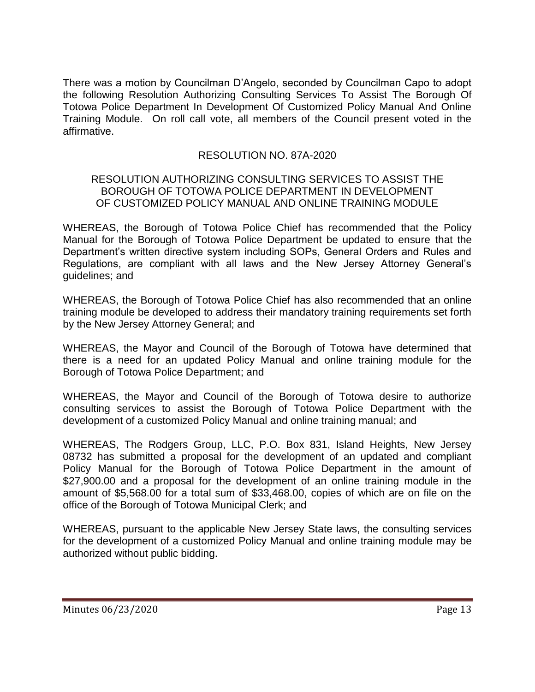There was a motion by Councilman D'Angelo, seconded by Councilman Capo to adopt the following Resolution Authorizing Consulting Services To Assist The Borough Of Totowa Police Department In Development Of Customized Policy Manual And Online Training Module. On roll call vote, all members of the Council present voted in the affirmative.

# RESOLUTION NO. 87A-2020

### RESOLUTION AUTHORIZING CONSULTING SERVICES TO ASSIST THE BOROUGH OF TOTOWA POLICE DEPARTMENT IN DEVELOPMENT OF CUSTOMIZED POLICY MANUAL AND ONLINE TRAINING MODULE

WHEREAS, the Borough of Totowa Police Chief has recommended that the Policy Manual for the Borough of Totowa Police Department be updated to ensure that the Department's written directive system including SOPs, General Orders and Rules and Regulations, are compliant with all laws and the New Jersey Attorney General's guidelines; and

WHEREAS, the Borough of Totowa Police Chief has also recommended that an online training module be developed to address their mandatory training requirements set forth by the New Jersey Attorney General; and

WHEREAS, the Mayor and Council of the Borough of Totowa have determined that there is a need for an updated Policy Manual and online training module for the Borough of Totowa Police Department; and

WHEREAS, the Mayor and Council of the Borough of Totowa desire to authorize consulting services to assist the Borough of Totowa Police Department with the development of a customized Policy Manual and online training manual; and

WHEREAS, The Rodgers Group, LLC, P.O. Box 831, Island Heights, New Jersey 08732 has submitted a proposal for the development of an updated and compliant Policy Manual for the Borough of Totowa Police Department in the amount of \$27,900.00 and a proposal for the development of an online training module in the amount of \$5,568.00 for a total sum of \$33,468.00, copies of which are on file on the office of the Borough of Totowa Municipal Clerk; and

WHEREAS, pursuant to the applicable New Jersey State laws, the consulting services for the development of a customized Policy Manual and online training module may be authorized without public bidding.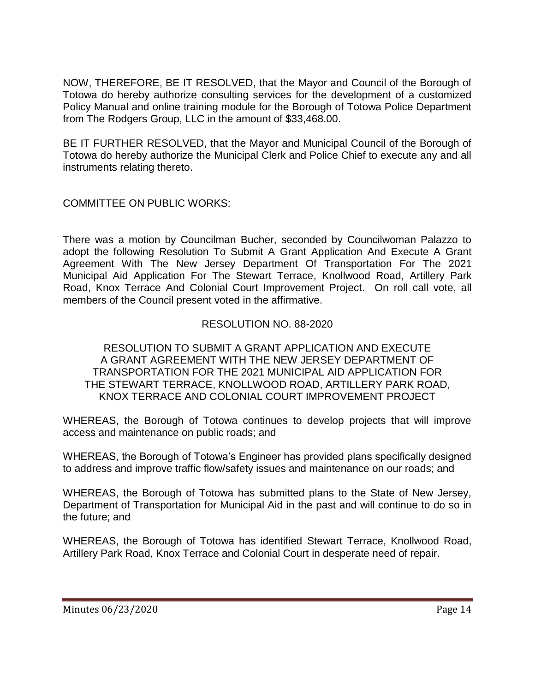NOW, THEREFORE, BE IT RESOLVED, that the Mayor and Council of the Borough of Totowa do hereby authorize consulting services for the development of a customized Policy Manual and online training module for the Borough of Totowa Police Department from The Rodgers Group, LLC in the amount of \$33,468.00.

BE IT FURTHER RESOLVED, that the Mayor and Municipal Council of the Borough of Totowa do hereby authorize the Municipal Clerk and Police Chief to execute any and all instruments relating thereto.

COMMITTEE ON PUBLIC WORKS:

There was a motion by Councilman Bucher, seconded by Councilwoman Palazzo to adopt the following Resolution To Submit A Grant Application And Execute A Grant Agreement With The New Jersey Department Of Transportation For The 2021 Municipal Aid Application For The Stewart Terrace, Knollwood Road, Artillery Park Road, Knox Terrace And Colonial Court Improvement Project. On roll call vote, all members of the Council present voted in the affirmative.

# RESOLUTION NO. 88-2020

### RESOLUTION TO SUBMIT A GRANT APPLICATION AND EXECUTE A GRANT AGREEMENT WITH THE NEW JERSEY DEPARTMENT OF TRANSPORTATION FOR THE 2021 MUNICIPAL AID APPLICATION FOR THE STEWART TERRACE, KNOLLWOOD ROAD, ARTILLERY PARK ROAD, KNOX TERRACE AND COLONIAL COURT IMPROVEMENT PROJECT

WHEREAS, the Borough of Totowa continues to develop projects that will improve access and maintenance on public roads; and

WHEREAS, the Borough of Totowa's Engineer has provided plans specifically designed to address and improve traffic flow/safety issues and maintenance on our roads; and

WHEREAS, the Borough of Totowa has submitted plans to the State of New Jersey, Department of Transportation for Municipal Aid in the past and will continue to do so in the future; and

WHEREAS, the Borough of Totowa has identified Stewart Terrace, Knollwood Road, Artillery Park Road, Knox Terrace and Colonial Court in desperate need of repair.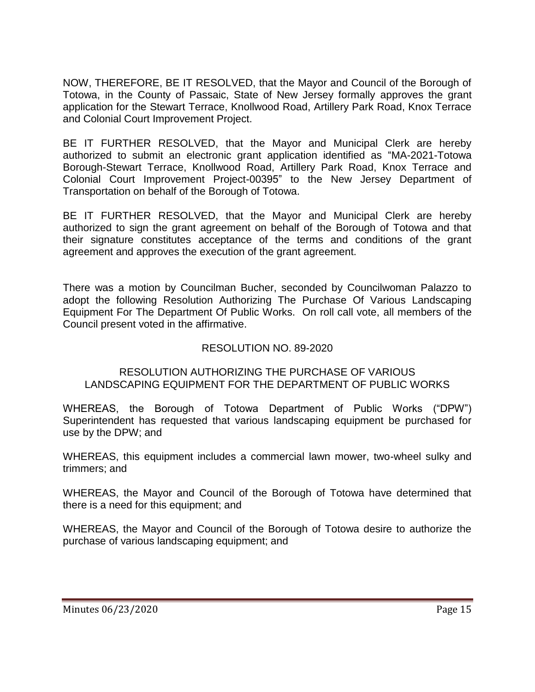NOW, THEREFORE, BE IT RESOLVED, that the Mayor and Council of the Borough of Totowa, in the County of Passaic, State of New Jersey formally approves the grant application for the Stewart Terrace, Knollwood Road, Artillery Park Road, Knox Terrace and Colonial Court Improvement Project.

BE IT FURTHER RESOLVED, that the Mayor and Municipal Clerk are hereby authorized to submit an electronic grant application identified as "MA-2021-Totowa Borough-Stewart Terrace, Knollwood Road, Artillery Park Road, Knox Terrace and Colonial Court Improvement Project-00395" to the New Jersey Department of Transportation on behalf of the Borough of Totowa.

BE IT FURTHER RESOLVED, that the Mayor and Municipal Clerk are hereby authorized to sign the grant agreement on behalf of the Borough of Totowa and that their signature constitutes acceptance of the terms and conditions of the grant agreement and approves the execution of the grant agreement.

There was a motion by Councilman Bucher, seconded by Councilwoman Palazzo to adopt the following Resolution Authorizing The Purchase Of Various Landscaping Equipment For The Department Of Public Works. On roll call vote, all members of the Council present voted in the affirmative.

# RESOLUTION NO. 89-2020

### RESOLUTION AUTHORIZING THE PURCHASE OF VARIOUS LANDSCAPING EQUIPMENT FOR THE DEPARTMENT OF PUBLIC WORKS

WHEREAS, the Borough of Totowa Department of Public Works ("DPW") Superintendent has requested that various landscaping equipment be purchased for use by the DPW; and

WHEREAS, this equipment includes a commercial lawn mower, two-wheel sulky and trimmers; and

WHEREAS, the Mayor and Council of the Borough of Totowa have determined that there is a need for this equipment; and

WHEREAS, the Mayor and Council of the Borough of Totowa desire to authorize the purchase of various landscaping equipment; and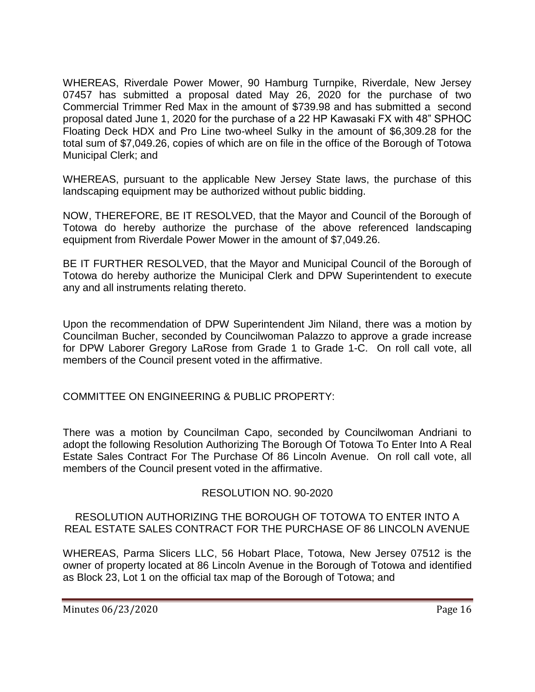WHEREAS, Riverdale Power Mower, 90 Hamburg Turnpike, Riverdale, New Jersey 07457 has submitted a proposal dated May 26, 2020 for the purchase of two Commercial Trimmer Red Max in the amount of \$739.98 and has submitted a second proposal dated June 1, 2020 for the purchase of a 22 HP Kawasaki FX with 48" SPHOC Floating Deck HDX and Pro Line two-wheel Sulky in the amount of \$6,309.28 for the total sum of \$7,049.26, copies of which are on file in the office of the Borough of Totowa Municipal Clerk; and

WHEREAS, pursuant to the applicable New Jersey State laws, the purchase of this landscaping equipment may be authorized without public bidding.

NOW, THEREFORE, BE IT RESOLVED, that the Mayor and Council of the Borough of Totowa do hereby authorize the purchase of the above referenced landscaping equipment from Riverdale Power Mower in the amount of \$7,049.26.

BE IT FURTHER RESOLVED, that the Mayor and Municipal Council of the Borough of Totowa do hereby authorize the Municipal Clerk and DPW Superintendent to execute any and all instruments relating thereto.

Upon the recommendation of DPW Superintendent Jim Niland, there was a motion by Councilman Bucher, seconded by Councilwoman Palazzo to approve a grade increase for DPW Laborer Gregory LaRose from Grade 1 to Grade 1-C. On roll call vote, all members of the Council present voted in the affirmative.

COMMITTEE ON ENGINEERING & PUBLIC PROPERTY:

There was a motion by Councilman Capo, seconded by Councilwoman Andriani to adopt the following Resolution Authorizing The Borough Of Totowa To Enter Into A Real Estate Sales Contract For The Purchase Of 86 Lincoln Avenue. On roll call vote, all members of the Council present voted in the affirmative.

# RESOLUTION NO. 90-2020

RESOLUTION AUTHORIZING THE BOROUGH OF TOTOWA TO ENTER INTO A REAL ESTATE SALES CONTRACT FOR THE PURCHASE OF 86 LINCOLN AVENUE

WHEREAS, Parma Slicers LLC, 56 Hobart Place, Totowa, New Jersey 07512 is the owner of property located at 86 Lincoln Avenue in the Borough of Totowa and identified as Block 23, Lot 1 on the official tax map of the Borough of Totowa; and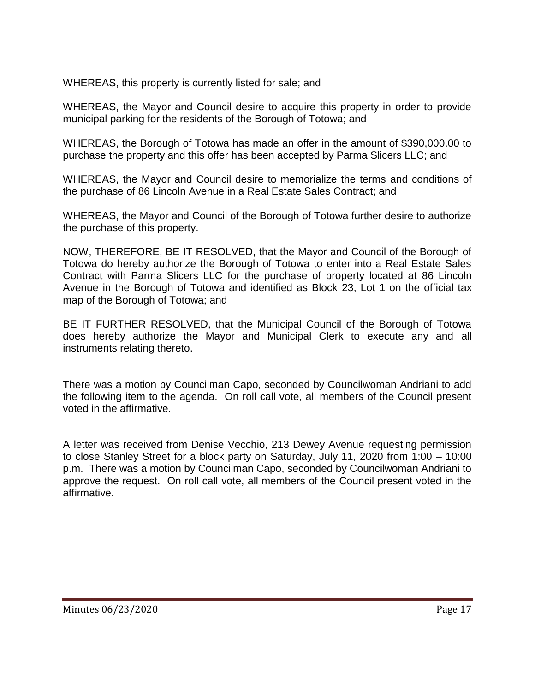WHEREAS, this property is currently listed for sale; and

WHEREAS, the Mayor and Council desire to acquire this property in order to provide municipal parking for the residents of the Borough of Totowa; and

WHEREAS, the Borough of Totowa has made an offer in the amount of \$390,000.00 to purchase the property and this offer has been accepted by Parma Slicers LLC; and

WHEREAS, the Mayor and Council desire to memorialize the terms and conditions of the purchase of 86 Lincoln Avenue in a Real Estate Sales Contract; and

WHEREAS, the Mayor and Council of the Borough of Totowa further desire to authorize the purchase of this property.

NOW, THEREFORE, BE IT RESOLVED, that the Mayor and Council of the Borough of Totowa do hereby authorize the Borough of Totowa to enter into a Real Estate Sales Contract with Parma Slicers LLC for the purchase of property located at 86 Lincoln Avenue in the Borough of Totowa and identified as Block 23, Lot 1 on the official tax map of the Borough of Totowa; and

BE IT FURTHER RESOLVED, that the Municipal Council of the Borough of Totowa does hereby authorize the Mayor and Municipal Clerk to execute any and all instruments relating thereto.

There was a motion by Councilman Capo, seconded by Councilwoman Andriani to add the following item to the agenda. On roll call vote, all members of the Council present voted in the affirmative.

A letter was received from Denise Vecchio, 213 Dewey Avenue requesting permission to close Stanley Street for a block party on Saturday, July 11, 2020 from 1:00 – 10:00 p.m. There was a motion by Councilman Capo, seconded by Councilwoman Andriani to approve the request. On roll call vote, all members of the Council present voted in the affirmative.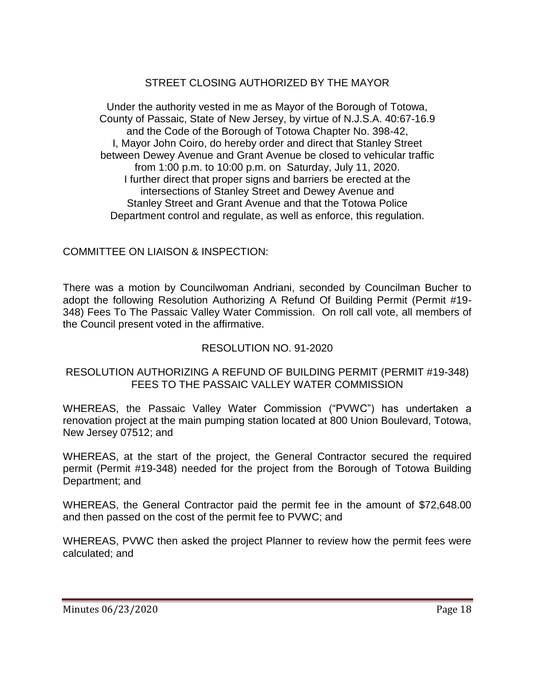# STREET CLOSING AUTHORIZED BY THE MAYOR

Under the authority vested in me as Mayor of the Borough of Totowa, County of Passaic, State of New Jersey, by virtue of N.J.S.A. 40:67-16.9 and the Code of the Borough of Totowa Chapter No. 398-42, I, Mayor John Coiro, do hereby order and direct that Stanley Street between Dewey Avenue and Grant Avenue be closed to vehicular traffic from 1:00 p.m. to 10:00 p.m. on Saturday, July 11, 2020. I further direct that proper signs and barriers be erected at the intersections of Stanley Street and Dewey Avenue and Stanley Street and Grant Avenue and that the Totowa Police Department control and regulate, as well as enforce, this regulation.

# COMMITTEE ON LIAISON & INSPECTION:

There was a motion by Councilwoman Andriani, seconded by Councilman Bucher to adopt the following Resolution Authorizing A Refund Of Building Permit (Permit #19- 348) Fees To The Passaic Valley Water Commission. On roll call vote, all members of the Council present voted in the affirmative.

# RESOLUTION NO. 91-2020

### RESOLUTION AUTHORIZING A REFUND OF BUILDING PERMIT (PERMIT #19-348) FEES TO THE PASSAIC VALLEY WATER COMMISSION

WHEREAS, the Passaic Valley Water Commission ("PVWC") has undertaken a renovation project at the main pumping station located at 800 Union Boulevard, Totowa, New Jersey 07512; and

WHEREAS, at the start of the project, the General Contractor secured the required permit (Permit #19-348) needed for the project from the Borough of Totowa Building Department; and

WHEREAS, the General Contractor paid the permit fee in the amount of \$72,648.00 and then passed on the cost of the permit fee to PVWC; and

WHEREAS, PVWC then asked the project Planner to review how the permit fees were calculated; and